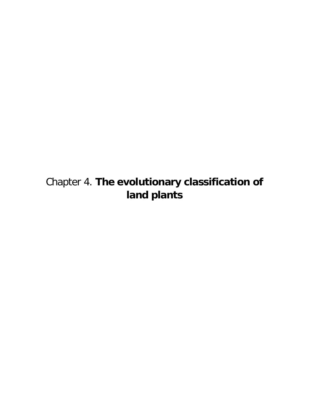## Chapter 4. **The evolutionary classification of land plants**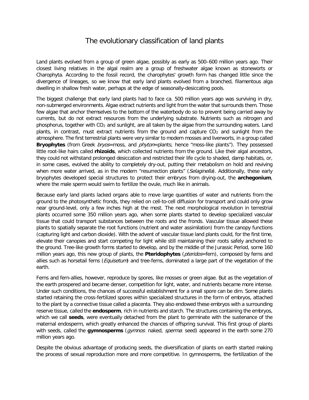## The evolutionary classification of land plants

Land plants evolved from a group of green algae, possibly as early as 500–600 million years ago. Their closest living relatives in the algal realm are a group of freshwater algae known as stoneworts or Charophyta. According to the fossil record, the charophytes' growth form has changed little since the divergence of lineages, so we know that early land plants evolved from a branched, filamentous alga dwelling in shallow fresh water, perhaps at the edge of seasonally-desiccating pools.

The biggest challenge that early land plants had to face ca. 500 million years ago was surviving in dry, non-submerged environments. Algae extract nutrients and light from the water that surrounds them. Those few algae that anchor themselves to the bottom of the waterbody do so to prevent being carried away by currents, but do not extract resources from the underlying substrate. Nutrients such as nitrogen and phosphorus, together with CO<sub>2</sub> and sunlight, are all taken by the algae from the surrounding waters. Land plants, in contrast, must extract nutrients from the ground and capture  $CO<sub>2</sub>$  and sunlight from the atmosphere. The first terrestrial plants were very similar to modern mosses and liverworts, in a group called **Bryophytes** (from Greek *bryos*=moss, and *phyton*=plants; hence "moss-like plants"). They possessed little root-like hairs called **rhizoids**, which collected nutrients from the ground. Like their algal ancestors, they could not withstand prolonged desiccation and restricted their life cycle to shaded, damp habitats, or, in some cases, evolved the ability to completely dry-out, putting their metabolism on hold and reviving when more water arrived, as in the modern "resurrection plants" (Selaginella). Additionally, these early bryophytes developed special structures to protect their embryos from drying-out, the **archegonium**, where the male sperm would swim to fertilize the ovule, much like in animals.

Because early land plants lacked organs able to move large quantities of water and nutrients from the ground to the photosynthetic fronds, they relied on cell-to-cell diffusion for transport and could only grow near ground-level, only a few inches high at the most. The next morphological revolution in terrestrial plants occurred some 350 million years ago, when some plants started to develop specialized vascular tissue that could transport substances between the roots and the fronds. Vascular tissue allowed these plants to spatially separate the root functions (nutrient and water assimilation) from the canopy functions (capturing light and carbon dioxide). With the advent of vascular tissue land plants could, for the first time, elevate their canopies and start competing for light while still maintaining their roots safely anchored to the ground. Tree-like growth forms started to develop, and by the middle of the Jurassic Period, some 160 million years ago, this new group of plants, the **Pteridophytes** (pteridos=fern), composed by ferns and allies such as horsetail ferns (Equisetum) and tree-ferns, dominated a large part of the vegetation of the earth.

Ferns and fern-allies, however, reproduce by spores, like mosses or green algae. But as the vegetation of the earth prospered and became denser, competition for light, water, and nutrients became more intense. Under such conditions, the chances of successful establishment for a small spore can be dim. Some plants started retaining the cross-fertilized spores within specialized structures in the form of embryos, attached to the plant by a connective tissue called a placenta. They also endowed these embryos with a surrounding reserve tissue, called the **endosperm**, rich in nutrients and starch. The structures containing the embryos, which we call **seeds**, were eventually detached from the plant to germinate with the sustenance of the maternal endosperm, which greatly enhanced the chances of offspring survival. This first group of plants with seeds, called the **gymnosperms** (gymnos: naked, sperma: seed) appeared in the earth some 270 million years ago.

Despite the obvious advantage of producing seeds, the diversification of plants on earth started making the process of sexual reproduction more and more competitive. In gymnosperms, the fertilization of the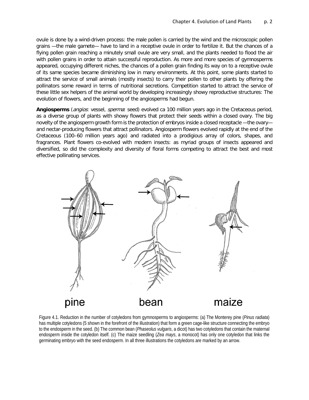ovule is done by a wind-driven process: the male pollen is carried by the wind and the microscopic pollen grains —the male gamete— have to land in a receptive ovule in order to fertilize it. But the chances of a flying pollen grain reaching a minutely small ovule are very small, and the plants needed to flood the air with pollen grains in order to attain successful reproduction. As more and more species of gymnosperms appeared, occupying different niches, the chances of a pollen grain finding its way on to a receptive ovule of its same species became diminishing low in many environments. At this point, some plants started to attract the service of small animals (mostly insects) to carry their pollen to other plants by offering the pollinators some reward in terms of nutritional secretions. Competition started to attract the service of these little sex helpers of the animal world by developing increasingly showy reproductive structures: The evolution of flowers, and the beginning of the angiosperms had begun.

**Angiosperms** (angios: vessel, sperma: seed) evolved ca 100 million years ago in the Cretaceous period, as a diverse group of plants with showy flowers that protect their seeds within a closed ovary. The big novelty of the angiosperm growth form is the protection of embryos inside a closed receptacle —the ovary and nectar-producing flowers that attract pollinators. Angiosperm flowers evolved rapidly at the end of the Cretaceous (100–60 million years ago) and radiated into a prodigious array of colors, shapes, and fragrances. Plant flowers co-evolved with modern insects: as myriad groups of insects appeared and diversified, so did the complexity and diversity of floral forms competing to attract the best and most effective pollinating services.



Figure 4.1. Reduction in the number of cotyledons from gymnosperms to angiosperms: (a) The Monterey pine (*Pinus radiata*) has multiple cotyledons (5 shown in the forefront of the illustration) that form a green cage-like structure connecting the embryo to the endosperm in the seed. (b) The common bean (*Phaseolus vulgaris*, a dicot) has two cotyledons that contain the maternal endosperm inside the cotyledon itself. (c) The maize seedling (*Zea mays*, a monocot) has only one cotyledon that links the germinating embryo with the seed endosperm. In all three illustrations the cotyledons are marked by an arrow.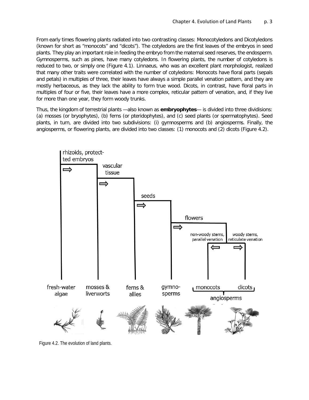From early times flowering plants radiated into two contrasting classes: Monocotyledons and Dicotyledons (known for short as "monocots" and "dicots"). The cotyledons are the first leaves of the embryos in seed plants. They play an important role in feeding the embryo from the maternal seed reserves, the endosperm. Gymnosperms, such as pines, have many cotyledons. In flowering plants, the number of cotyledons is reduced to two, or simply one (Figure 4.1). Linnaeus, who was an excellent plant morphologist, realized that many other traits were correlated with the number of cotyledons: Monocots have floral parts (sepals and petals) in multiples of three, their leaves have always a simple parallel venation pattern, and they are mostly herbaceous, as they lack the ability to form true wood. Dicots, in contrast, have floral parts in multiples of four or five, their leaves have a more complex, reticular pattern of venation, and, if they live for more than one year, they form woody trunks.

Thus, the kingdom of terrestrial plants —also known as **embryophytes**— is divided into three dividisions: (a) mosses (or bryophytes), (b) ferns (or pteridophytes), and (c) seed plants (or spermatophytes). Seed plants, in turn, are divided into two subdivisions: (i) gymnosperms and (b) angiosperms. Finally, the angiosperms, or flowering plants, are divided into two classes: (1) monocots and (2) dicots (Figure 4.2).



Figure 4.2. The evolution of land plants.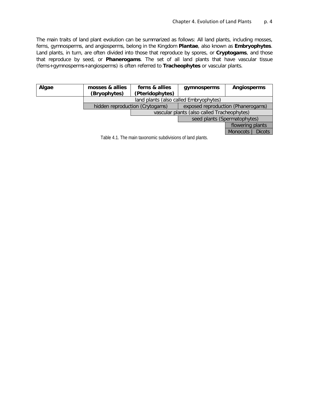The main traits of land plant evolution can be summarized as follows: All land plants, including mosses, ferns, gymnosperms, and angiosperms, belong in the Kingdom **Plantae**, also known as **Embryophytes**. Land plants, in turn, are often divided into those that reproduce by spores, or **Cryptogams**, and those that reproduce by seed, or **Phanerogams**. The set of all land plants that have vascular tissue (ferns+gymnosperms+angiosperms) is often referred to **Tracheophytes** or vascular plants.

| Algae                                                      | mosses & allies<br>(Bryophytes)        | ferns & allies<br>(Pteridophytes)           | gymnosperms                        | <b>Angiosperms</b>               |
|------------------------------------------------------------|----------------------------------------|---------------------------------------------|------------------------------------|----------------------------------|
|                                                            | land plants (also called Embryophytes) |                                             |                                    |                                  |
|                                                            | hidden reproduction (Crytogams)        |                                             | exposed reproduction (Phanerogams) |                                  |
|                                                            |                                        | vascular plants (also called Tracheophytes) |                                    |                                  |
|                                                            |                                        |                                             | seed plants (Spermatophytes)       |                                  |
|                                                            |                                        |                                             |                                    | flowering plants                 |
|                                                            |                                        |                                             |                                    | <b>Dicots</b><br><b>Monocots</b> |
| Table 4.1. The main taxonomic subdivisions of land plants. |                                        |                                             |                                    |                                  |